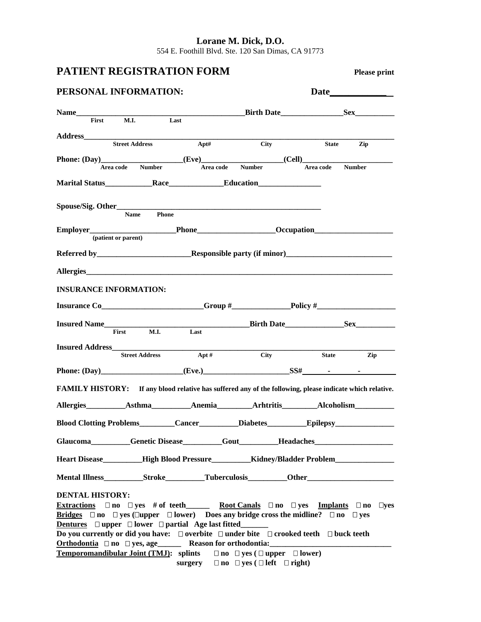**Lorane M. Dick, D.O.**  554 E. Foothill Blvd. Ste. 120 San Dimas, CA 91773

# **PATIENT REGISTRATION FORM Please print**

| Please prin |  |
|-------------|--|

| PERSONAL INFORMATION:                                                                                                                       |       |                                                          | Date                                    |
|---------------------------------------------------------------------------------------------------------------------------------------------|-------|----------------------------------------------------------|-----------------------------------------|
|                                                                                                                                             |       |                                                          | Birth Date Sex                          |
| First M.I. Last                                                                                                                             |       |                                                          |                                         |
|                                                                                                                                             |       |                                                          |                                         |
|                                                                                                                                             |       | <b>City</b>                                              | State Zip                               |
| Phone: (Day)_____________________(Eve)________________(Cell)_____________________                                                           |       |                                                          |                                         |
| Area code Number                                                                                                                            |       | Area code Number                                         | Area code Number                        |
|                                                                                                                                             |       |                                                          |                                         |
|                                                                                                                                             |       |                                                          |                                         |
|                                                                                                                                             |       |                                                          |                                         |
|                                                                                                                                             |       |                                                          |                                         |
|                                                                                                                                             |       |                                                          |                                         |
| (patient or parent)                                                                                                                         |       |                                                          |                                         |
|                                                                                                                                             |       |                                                          |                                         |
|                                                                                                                                             |       |                                                          |                                         |
|                                                                                                                                             |       |                                                          |                                         |
| <b>INSURANCE INFORMATION:</b>                                                                                                               |       |                                                          |                                         |
|                                                                                                                                             |       |                                                          |                                         |
|                                                                                                                                             |       |                                                          |                                         |
| Insured Name                                                                                                                                |       |                                                          | <u>Dirth Date</u> Birth Date <u>Sex</u> |
| First M.I. Last                                                                                                                             |       |                                                          |                                         |
|                                                                                                                                             |       |                                                          |                                         |
| <b>Street Address</b>                                                                                                                       | Apt # | City                                                     | <b>State</b><br>Zip                     |
| Phone: $(Day)$ $(Eve.)$ $SSH$ $-SSH$ $-SS$                                                                                                  |       |                                                          |                                         |
| FAMILY HISTORY: If any blood relative has suffered any of the following, please indicate which relative.                                    |       |                                                          |                                         |
| Allergies Asthma Anemia Arhtritis Alcoholism                                                                                                |       |                                                          |                                         |
| Blood Clotting Problems_________Cancer_________Diabetes__________________________                                                           |       |                                                          |                                         |
| Glaucoma Genetic Disease Gout Headaches                                                                                                     |       |                                                          |                                         |
| Heart Disease_________High Blood Pressure___________Kidney/Bladder Problem__________________________                                        |       |                                                          |                                         |
| Mental Illness Stroke Tuberculosis Other Chern Communication Stroke Tuberculosis Communication Stroke Tuberculosis                          |       |                                                          |                                         |
|                                                                                                                                             |       |                                                          |                                         |
| <b>DENTAL HISTORY:</b><br><b>Extractions</b> $\Box$ no $\Box$ yes # of teeth Root Canals $\Box$ no $\Box$ yes Implants $\Box$ no $\Box$ yes |       |                                                          |                                         |
| Bridges $\Box$ no $\Box$ yes ( $\Box$ upper $\Box$ lower) Does any bridge cross the midline? $\Box$ no $\Box$ yes                           |       |                                                          |                                         |
| <b>Dentures</b> $\Box$ upper $\Box$ lower $\Box$ partial Age last fitted_______                                                             |       |                                                          |                                         |
| Do you currently or did you have: $\Box$ overbite $\Box$ under bite $\Box$ crooked teeth $\Box$ buck teeth                                  |       |                                                          |                                         |
| Orthodontia □ no □ yes, age______ Reason for orthodontia:_______________________                                                            |       |                                                          |                                         |
| <b>Temporomandibular Joint (TMJ):</b> splints $\Box$ no $\Box$ yes ( $\Box$ upper $\Box$ lower)                                             |       |                                                          |                                         |
|                                                                                                                                             |       | surgery $\Box$ no $\Box$ yes ( $\Box$ left $\Box$ right) |                                         |